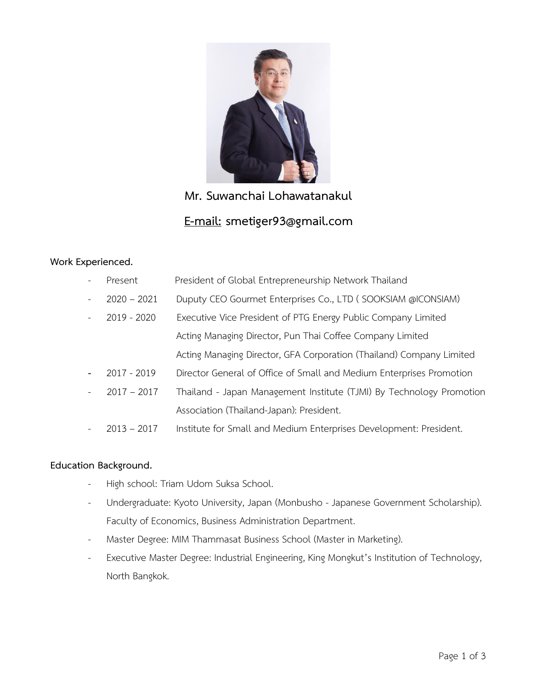

# **Mr. Suwanchai Lohawatanakul E-mail: smetiger93@gmail.com**

### **Work Experienced.**

| $\overline{\phantom{a}}$ | Present       | President of Global Entrepreneurship Network Thailand                |
|--------------------------|---------------|----------------------------------------------------------------------|
| $\bar{a}$                | $2020 - 2021$ | Duputy CEO Gourmet Enterprises Co., LTD (SOOKSIAM @ICONSIAM)         |
| $\equiv$                 | 2019 - 2020   | Executive Vice President of PTG Energy Public Company Limited        |
|                          |               | Acting Managing Director, Pun Thai Coffee Company Limited            |
|                          |               | Acting Managing Director, GFA Corporation (Thailand) Company Limited |
| $\overline{\phantom{0}}$ | 2017 - 2019   | Director General of Office of Small and Medium Enterprises Promotion |
| $\equiv$                 | $2017 - 2017$ | Thailand - Japan Management Institute (TJMI) By Technology Promotion |
|                          |               | Association (Thailand-Japan): President.                             |
| $\overline{\phantom{a}}$ | $2013 - 2017$ | Institute for Small and Medium Enterprises Development: President.   |

## **Education Background.**

- High school: Triam Udom Suksa School.
- Undergraduate: Kyoto University, Japan (Monbusho Japanese Government Scholarship). Faculty of Economics, Business Administration Department.
- Master Degree: MIM Thammasat Business School (Master in Marketing).
- Executive Master Degree: Industrial Engineering, King Mongkut's Institution of Technology, North Bangkok.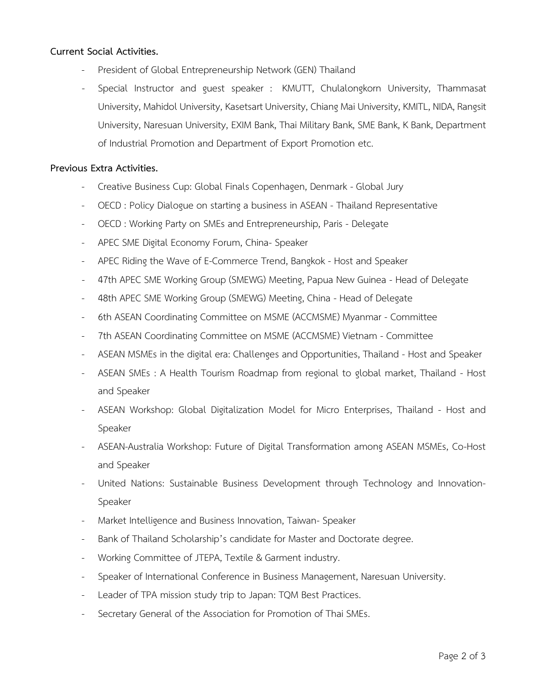#### **Current Social Activities.**

- President of Global Entrepreneurship Network (GEN) Thailand
- Special Instructor and guest speaker : KMUTT, Chulalongkorn University, Thammasat University, Mahidol University, Kasetsart University, Chiang Mai University, KMITL, NIDA, Rangsit University, Naresuan University, EXIM Bank, Thai Military Bank, SME Bank, K Bank, Department of Industrial Promotion and Department of Export Promotion etc.

#### **Previous Extra Activities.**

- Creative Business Cup: Global Finals Copenhagen, Denmark Global Jury
- OECD : Policy Dialogue on starting a business in ASEAN Thailand Representative
- OECD : Working Party on SMEs and Entrepreneurship, Paris Delegate
- APEC SME Digital Economy Forum, China- Speaker
- APEC Riding the Wave of E-Commerce Trend, Bangkok Host and Speaker
- 47th APEC SME Working Group (SMEWG) Meeting, Papua New Guinea Head of Delegate
- 48th APEC SME Working Group (SMEWG) Meeting, China Head of Delegate
- 6th ASEAN Coordinating Committee on MSME (ACCMSME) Myanmar Committee
- 7th ASEAN Coordinating Committee on MSME (ACCMSME) Vietnam Committee
- ASEAN MSMEs in the digital era: Challenges and Opportunities, Thailand Host and Speaker
- ASEAN SMEs : A Health Tourism Roadmap from regional to global market, Thailand Host and Speaker
- ASEAN Workshop: Global Digitalization Model for Micro Enterprises, Thailand Host and Speaker
- ASEAN-Australia Workshop: Future of Digital Transformation among ASEAN MSMEs, Co-Host and Speaker
- United Nations: Sustainable Business Development through Technology and Innovation-Speaker
- Market Intelligence and Business Innovation, Taiwan- Speaker
- Bank of Thailand Scholarship's candidate for Master and Doctorate degree.
- Working Committee of JTEPA, Textile & Garment industry.
- Speaker of International Conference in Business Management, Naresuan University.
- Leader of TPA mission study trip to Japan: TQM Best Practices.
- Secretary General of the Association for Promotion of Thai SMEs.